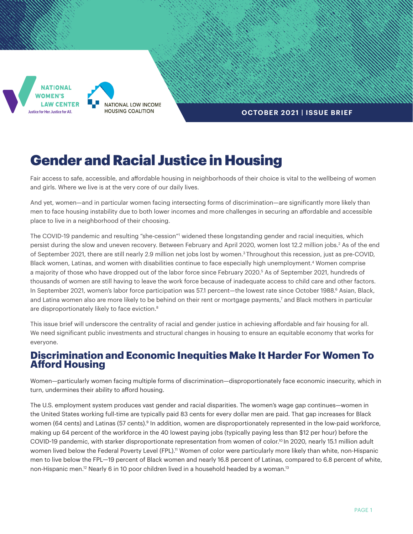

### **OCTOBER 2021 | ISSUE BRIEF**

# Gender and Racial Justice in Housing

Fair access to safe, accessible, and affordable housing in neighborhoods of their choice is vital to the wellbeing of women and girls. Where we live is at the very core of our daily lives.

And yet, women—and in particular women facing intersecting forms of discrimination—are significantly more likely than men to face housing instability due to both lower incomes and more challenges in securing an affordable and accessible place to live in a neighborhood of their choosing.

The COVID-19 pandemic and resulting "she-cession"<sup>1</sup> widened these longstanding gender and racial inequities, which persist during the slow and uneven recovery. Between February and April 2020, women lost 12.2 million jobs.<sup>2</sup> As of the end of September 2021, there are still nearly 2.9 million net jobs lost by women.3 Throughout this recession, just as pre-COVID, Black women, Latinas, and women with disabilities continue to face especially high unemployment.<sup>4</sup> Women comprise a majority of those who have dropped out of the labor force since February 2020.<sup>5</sup> As of September 2021, hundreds of thousands of women are still having to leave the work force because of inadequate access to child care and other factors. In September 2021, women's labor force participation was 57.1 percent—the lowest rate since October 1988.<sup>6</sup> Asian, Black, and Latina women also are more likely to be behind on their rent or mortgage payments,7 and Black mothers in particular are disproportionately likely to face eviction.<sup>8</sup>

This issue brief will underscore the centrality of racial and gender justice in achieving affordable and fair housing for all. We need significant public investments and structural changes in housing to ensure an equitable economy that works for everyone.

# **Discrimination and Economic Inequities Make It Harder For Women To Afford Housing**

Women—particularly women facing multiple forms of discrimination—disproportionately face economic insecurity, which in turn, undermines their ability to afford housing.

The U.S. employment system produces vast gender and racial disparities. The women's wage gap continues—women in the United States working full-time are typically paid 83 cents for every dollar men are paid. That gap increases for Black women (64 cents) and Latinas (57 cents).<sup>9</sup> In addition, women are disproportionately represented in the low-paid workforce, making up 64 percent of the workforce in the 40 lowest paying jobs (typically paying less than \$12 per hour) before the COVID-19 pandemic, with starker disproportionate representation from women of color.<sup>10</sup> In 2020, nearly 15.1 million adult women lived below the Federal Poverty Level (FPL).<sup>11</sup> Women of color were particularly more likely than white, non-Hispanic men to live below the FPL—19 percent of Black women and nearly 16.8 percent of Latinas, compared to 6.8 percent of white, non-Hispanic men.<sup>12</sup> Nearly 6 in 10 poor children lived in a household headed by a woman.<sup>13</sup>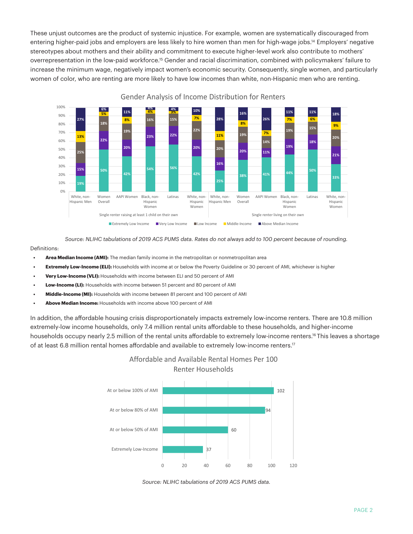These unjust outcomes are the product of systemic injustice. For example, women are systematically discouraged from entering higher-paid jobs and employers are less likely to hire women than men for high-wage jobs.14 Employers' negative stereotypes about mothers and their ability and commitment to execute higher-level work also contribute to mothers' overrepresentation in the low-paid workforce.15 Gender and racial discrimination, combined with policymakers' failure to increase the minimum wage, negatively impact women's economic security. Consequently, single women, and particularly women of color, who are renting are more likely to have low incomes than white, non-Hispanic men who are renting.



Gender Analysis of Income Distribution for Renters

*Source: NLIHC tabulations of 2019 ACS PUMS data. Rates do not always add to 100 percent because of rounding.*

#### Definitions:

- **• Area Median Income (AMI):** The median family income in the metropolitan or nonmetropolitan area
- **• Extremely Low-Income (ELI):** Households with income at or below the Poverty Guideline or 30 percent of AMI, whichever is higher
- **• Very Low-Income (VLI):** Households with income between ELI and 50 percent of AMI
- **• Low-Income (LI):** Households with income between 51 percent and 80 percent of AMI
- **• Middle-Income (MI):** Households with income between 81 percent and 100 percent of AMI
- **• Above Median Income:** Households with income above 100 percent of AMI

In addition, the affordable housing crisis disproportionately impacts extremely low-income renters. There are 10.8 million extremely-low income households, only 7.4 million rental units affordable to these households, and higher-income households occupy nearly 2.5 million of the rental units affordable to extremely low-income renters.16 This leaves a shortage of at least 6.8 million rental homes affordable and available to extremely low-income renters.<sup>17</sup>





*Source: NLIHC tabulations of 2019 ACS PUMS data.*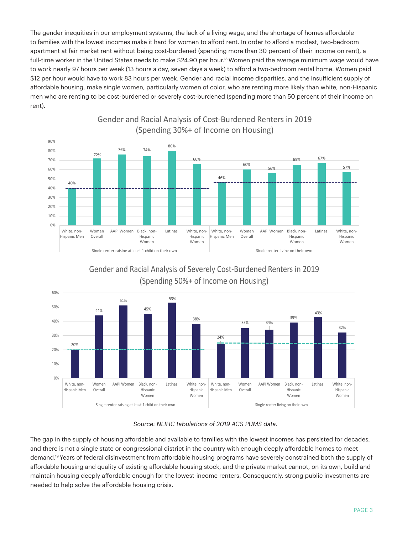The gender inequities in our employment systems, the lack of a living wage, and the shortage of homes affordable to families with the lowest incomes make it hard for women to afford rent. In order to afford a modest, two-bedroom apartment at fair market rent without being cost-burdened (spending more than 30 percent of their income on rent), a full-time worker in the United States needs to make \$24.90 per hour.<sup>18</sup> Women paid the average minimum wage would have to work nearly 97 hours per week (13 hours a day, seven days a week) to afford a two-bedroom rental home. Women paid \$12 per hour would have to work 83 hours per week. Gender and racial income disparities, and the insufficient supply of affordable housing, make single women, particularly women of color, who are renting more likely than white, non-Hispanic men who are renting to be cost-burdened or severely cost-burdened (spending more than 50 percent of their income on rent).



Gender and Racial Analysis of Cost-Burdened Renters in 2019 (Spending 30%+ of Income on Housing)

Gender and Racial Analysis of Severely Cost-Burdened Renters in 2019 (Spending 50%+ of Income on Housing)



#### *Source: NLIHC tabulations of 2019 ACS PUMS data.*

The gap in the supply of housing affordable and available to families with the lowest incomes has persisted for decades, and there is not a single state or congressional district in the country with enough deeply affordable homes to meet demand.19 Years of federal disinvestment from affordable housing programs have severely constrained both the supply of affordable housing and quality of existing affordable housing stock, and the private market cannot, on its own, build and maintain housing deeply affordable enough for the lowest-income renters. Consequently, strong public investments are needed to help solve the affordable housing crisis.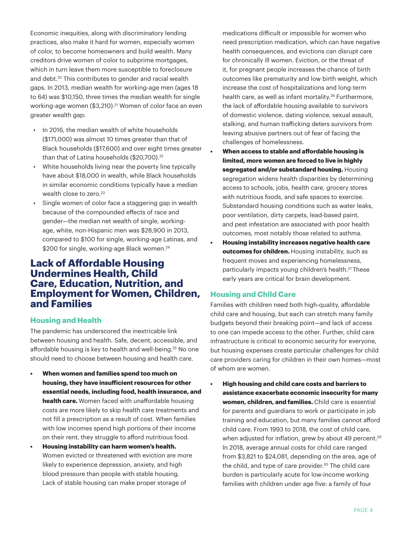Economic inequities, along with discriminatory lending practices, also make it hard for women, especially women of color, to become homeowners and build wealth. Many creditors drive women of color to subprime mortgages, which in turn leave them more susceptible to foreclosure and debt.<sup>20</sup> This contributes to gender and racial wealth gaps. In 2013, median wealth for working-age men (ages 18 to 64) was \$10,150, three times the median wealth for single working-age women (\$3,210).<sup>21</sup> Women of color face an even greater wealth gap:

- In 2016, the median wealth of white households (\$171,000) was almost 10 times greater than that of Black households (\$17,600) and over eight times greater than that of Latina households (\$20,700).<sup>22</sup>
- White households living near the poverty line typically have about \$18,000 in wealth, while Black households in similar economic conditions typically have a median wealth close to zero.<sup>23</sup>
- Single women of color face a staggering gap in wealth because of the compounded effects of race and gender—the median net wealth of single, workingage, white, non-Hispanic men was \$28,900 in 2013, compared to \$100 for single, working-age Latinas, and \$200 for single, working-age Black women.<sup>24</sup>

# **Lack of Affordable Housing Undermines Health, Child Care, Education, Nutrition, and Employment for Women, Children, and Families**

### **Housing and Health**

The pandemic has underscored the inextricable link between housing and health. Safe, decent, accessible, and affordable housing is key to health and well-being.<sup>25</sup> No one should need to choose between housing and health care.

- **• When women and families spend too much on housing, they have insufficient resources for other essential needs, including food, health insurance, and health care.** Women faced with unaffordable housing costs are more likely to skip health care treatments and not fill a prescription as a result of cost. When families with low incomes spend high portions of their income on their rent, they struggle to afford nutritious food.
- **• Housing instability can harm women's health.**  Women evicted or threatened with eviction are more likely to experience depression, anxiety, and high blood pressure than people with stable housing. Lack of stable housing can make proper storage of

medications difficult or impossible for women who need prescription medication, which can have negative health consequences, and evictions can disrupt care for chronically ill women. Eviction, or the threat of it, for pregnant people increases the chance of birth outcomes like prematurity and low birth weight, which increase the cost of hospitalizations and long-term health care, as well as infant mortality.<sup>26</sup> Furthermore, the lack of affordable housing available to survivors of domestic violence, dating violence, sexual assault, stalking, and human trafficking deters survivors from leaving abusive partners out of fear of facing the challenges of homelessness.

- **• When access to stable and affordable housing is limited, more women are forced to live in highly segregated and/or substandard housing.** Housing segregation widens health disparities by determining access to schools, jobs, health care, grocery stores with nutritious foods, and safe spaces to exercise. Substandard housing conditions such as water leaks, poor ventilation, dirty carpets, lead-based paint, and pest infestation are associated with poor health outcomes, most notably those related to asthma.
- **• Housing instability increases negative health care outcomes for children.** Housing instability, such as frequent moves and experiencing homelessness, particularly impacts young children's health.27 These early years are critical for brain development.

### **Housing and Child Care**

Families with children need both high-quality, affordable child care and housing, but each can stretch many family budgets beyond their breaking point—and lack of access to one can impede access to the other. Further, child care infrastructure is critical to economic security for everyone, but housing expenses create particular challenges for child care providers caring for children in their own homes—most of whom are women.

**• High housing and child care costs and barriers to assistance exacerbate economic insecurity for many women, children, and families.** Child care is essential for parents and guardians to work or participate in job training and education, but many families cannot afford child care. From 1993 to 2018, the cost of child care, when adjusted for inflation, grew by about 49 percent.<sup>29</sup> In 2018, average annual costs for child care ranged from \$3,821 to \$24,081, depending on the area, age of the child, and type of care provider.<sup>30</sup> The child care burden is particularly acute for low-income working families with children under age five: a family of four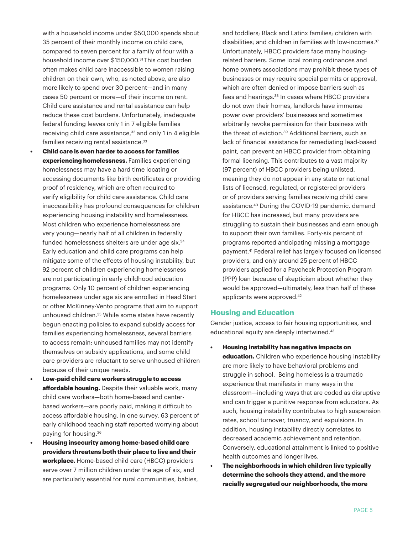with a household income under \$50,000 spends about 35 percent of their monthly income on child care, compared to seven percent for a family of four with a household income over \$150,000.<sup>31</sup> This cost burden often makes child care inaccessible to women raising children on their own, who, as noted above, are also more likely to spend over 30 percent—and in many cases 50 percent or more—of their income on rent. Child care assistance and rental assistance can help reduce these cost burdens. Unfortunately, inadequate federal funding leaves only 1 in 7 eligible families receiving child care assistance,<sup>32</sup> and only 1 in 4 eligible families receiving rental assistance.<sup>33</sup>

- **• Child care is even harder to access for families experiencing homelessness.** Families experiencing homelessness may have a hard time locating or accessing documents like birth certificates or providing proof of residency, which are often required to verify eligibility for child care assistance. Child care inaccessibility has profound consequences for children experiencing housing instability and homelessness. Most children who experience homelessness are very young—nearly half of all children in federally funded homelessness shelters are under age six.<sup>34</sup> Early education and child care programs can help mitigate some of the effects of housing instability, but 92 percent of children experiencing homelessness are not participating in early childhood education programs. Only 10 percent of children experiencing homelessness under age six are enrolled in Head Start or other McKinney-Vento programs that aim to support unhoused children.<sup>35</sup> While some states have recently begun enacting policies to expand subsidy access for families experiencing homelessness, several barriers to access remain; unhoused families may not identify themselves on subsidy applications, and some child care providers are reluctant to serve unhoused children because of their unique needs.
- **• Low-paid child care workers struggle to access affordable housing.** Despite their valuable work, many child care workers—both home-based and centerbased workers—are poorly paid, making it difficult to access affordable housing. In one survey, 63 percent of early childhood teaching staff reported worrying about paying for housing.36
- **• Housing insecurity among home-based child care providers threatens both their place to live and their workplace.** Home-based child care (HBCC) providers serve over 7 million children under the age of six, and are particularly essential for rural communities, babies,

and toddlers; Black and Latinx families; children with disabilities; and children in families with low-incomes.<sup>37</sup> Unfortunately, HBCC providers face many housingrelated barriers. Some local zoning ordinances and home owners associations may prohibit these types of businesses or may require special permits or approval, which are often denied or impose barriers such as fees and hearings.<sup>38</sup> In cases where HBCC providers do not own their homes, landlords have immense power over providers' businesses and sometimes arbitrarily revoke permission for their business with the threat of eviction.<sup>39</sup> Additional barriers, such as lack of financial assistance for remediating lead-based paint, can prevent an HBCC provider from obtaining formal licensing. This contributes to a vast majority (97 percent) of HBCC providers being unlisted, meaning they do not appear in any state or national lists of licensed, regulated, or registered providers or of providers serving families receiving child care assistance.40 During the COVID-19 pandemic, demand for HBCC has increased, but many providers are struggling to sustain their businesses and earn enough to support their own families. Forty-six percent of programs reported anticipating missing a mortgage payment.41 Federal relief has largely focused on licensed providers, and only around 25 percent of HBCC providers applied for a Paycheck Protection Program (PPP) loan because of skepticism about whether they would be approved—ultimately, less than half of these applicants were approved.42

#### **Housing and Education**

Gender justice, access to fair housing opportunities, and educational equity are deeply intertwined.<sup>43</sup>

- **• Housing instability has negative impacts on education.** Children who experience housing instability are more likely to have behavioral problems and struggle in school. Being homeless is a traumatic experience that manifests in many ways in the classroom—including ways that are coded as disruptive and can trigger a punitive response from educators. As such, housing instability contributes to high suspension rates, school turnover, truancy, and expulsions. In addition, housing instability directly correlates to decreased academic achievement and retention. Conversely, educational attainment is linked to positive health outcomes and longer lives.
- **• The neighborhoods in which children live typically determine the schools they attend, and the more racially segregated our neighborhoods, the more**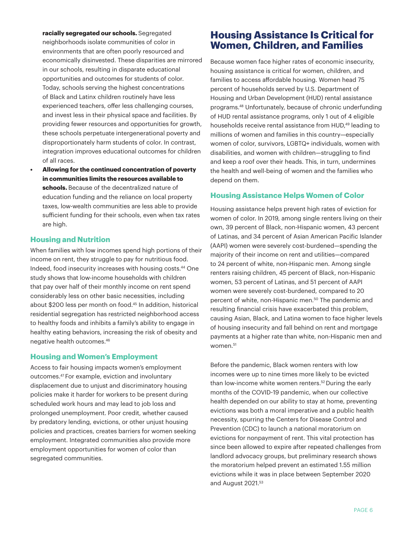**racially segregated our schools.** Segregated neighborhoods isolate communities of color in environments that are often poorly resourced and economically disinvested. These disparities are mirrored in our schools, resulting in disparate educational opportunities and outcomes for students of color. Today, schools serving the highest concentrations of Black and Latinx children routinely have less experienced teachers, offer less challenging courses, and invest less in their physical space and facilities. By providing fewer resources and opportunities for growth, these schools perpetuate intergenerational poverty and disproportionately harm students of color. In contrast, integration improves educational outcomes for children of all races.

**• Allowing for the continued concentration of poverty in communities limits the resources available to schools.** Because of the decentralized nature of education funding and the reliance on local property taxes, low-wealth communities are less able to provide sufficient funding for their schools, even when tax rates are high.

### **Housing and Nutrition**

When families with low incomes spend high portions of their income on rent, they struggle to pay for nutritious food. Indeed, food insecurity increases with housing costs.44 One study shows that low-income households with children that pay over half of their monthly income on rent spend considerably less on other basic necessities, including about \$200 less per month on food.<sup>45</sup> In addition, historical residential segregation has restricted neighborhood access to healthy foods and inhibits a family's ability to engage in healthy eating behaviors, increasing the risk of obesity and negative health outcomes.46

#### **Housing and Women's Employment**

Access to fair housing impacts women's employment outcomes.47 For example, eviction and involuntary displacement due to unjust and discriminatory housing policies make it harder for workers to be present during scheduled work hours and may lead to job loss and prolonged unemployment. Poor credit, whether caused by predatory lending, evictions, or other unjust housing policies and practices, creates barriers for women seeking employment. Integrated communities also provide more employment opportunities for women of color than segregated communities.

# **Housing Assistance Is Critical for Women, Children, and Families**

Because women face higher rates of economic insecurity, housing assistance is critical for women, children, and families to access affordable housing. Women head 75 percent of households served by U.S. Department of Housing and Urban Development (HUD) rental assistance programs.48 Unfortunately, because of chronic underfunding of HUD rental assistance programs, only 1 out of 4 eligible households receive rental assistance from HUD,<sup>49</sup> leading to millions of women and families in this country—especially women of color, survivors, LGBTQ+ individuals, women with disabilities, and women with children—struggling to find and keep a roof over their heads. This, in turn, undermines the health and well-being of women and the families who depend on them.

### **Housing Assistance Helps Women of Color**

Housing assistance helps prevent high rates of eviction for women of color. In 2019, among single renters living on their own, 39 percent of Black, non-Hispanic women, 43 percent of Latinas, and 34 percent of Asian American Pacific Islander (AAPI) women were severely cost-burdened—spending the majority of their income on rent and utilities—compared to 24 percent of white, non-Hispanic men. Among single renters raising children, 45 percent of Black, non-Hispanic women, 53 percent of Latinas, and 51 percent of AAPI women were severely cost-burdened, compared to 20 percent of white, non-Hispanic men.<sup>50</sup> The pandemic and resulting financial crisis have exacerbated this problem, causing Asian, Black, and Latina women to face higher levels of housing insecurity and fall behind on rent and mortgage payments at a higher rate than white, non-Hispanic men and women.<sup>51</sup>

Before the pandemic, Black women renters with low incomes were up to nine times more likely to be evicted than low-income white women renters.<sup>52</sup> During the early months of the COVID-19 pandemic, when our collective health depended on our ability to stay at home, preventing evictions was both a moral imperative and a public health necessity, spurring the Centers for Disease Control and Prevention (CDC) to launch a national moratorium on evictions for nonpayment of rent. This vital protection has since been allowed to expire after repeated challenges from landlord advocacy groups, but preliminary research shows the moratorium helped prevent an estimated 1.55 million evictions while it was in place between September 2020 and August 2021.53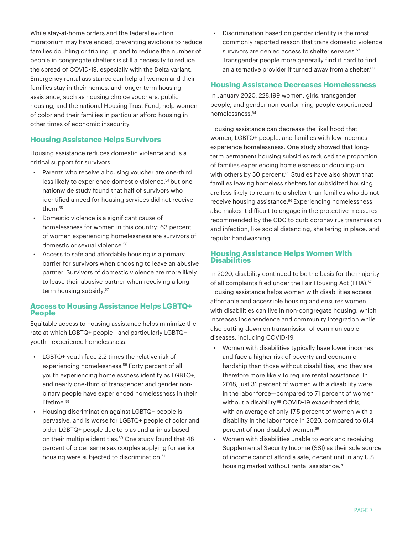While stay-at-home orders and the federal eviction moratorium may have ended, preventing evictions to reduce families doubling or tripling up and to reduce the number of people in congregate shelters is still a necessity to reduce the spread of COVID-19, especially with the Delta variant. Emergency rental assistance can help all women and their families stay in their homes, and longer-term housing assistance, such as housing choice vouchers, public housing, and the national Housing Trust Fund, help women of color and their families in particular afford housing in other times of economic insecurity.

### **Housing Assistance Helps Survivors**

Housing assistance reduces domestic violence and is a critical support for survivors.

- Parents who receive a housing voucher are one-third less likely to experience domestic violence,<sup>54</sup> but one nationwide study found that half of survivors who identified a need for housing services did not receive them.55
- Domestic violence is a significant cause of homelessness for women in this country: 63 percent of women experiencing homelessness are survivors of domestic or sexual violence.<sup>56</sup>
- Access to safe and affordable housing is a primary barrier for survivors when choosing to leave an abusive partner. Survivors of domestic violence are more likely to leave their abusive partner when receiving a longterm housing subsidy.<sup>57</sup>

### **Access to Housing Assistance Helps LGBTQ+ People**

Equitable access to housing assistance helps minimize the rate at which LGBTQ+ people—and particularly LGBTQ+ youth—experience homelessness.

- LGBTQ+ youth face 2.2 times the relative risk of experiencing homelessness.<sup>58</sup> Forty percent of all youth experiencing homelessness identify as LGBTQ+, and nearly one-third of transgender and gender nonbinary people have experienced homelessness in their lifetime.<sup>59</sup>
- Housing discrimination against LGBTQ+ people is pervasive, and is worse for LGBTQ+ people of color and older LGBTQ+ people due to bias and animus based on their multiple identities.<sup>60</sup> One study found that 48 percent of older same sex couples applying for senior housing were subjected to discrimination.<sup>61</sup>

• Discrimination based on gender identity is the most commonly reported reason that trans domestic violence survivors are denied access to shelter services.<sup>62</sup> Transgender people more generally find it hard to find an alternative provider if turned away from a shelter.<sup>63</sup>

### **Housing Assistance Decreases Homelessness**

In January 2020, 228,199 women, girls, transgender people, and gender non-conforming people experienced homelessness.64

Housing assistance can decrease the likelihood that women, LGBTQ+ people, and families with low incomes experience homelessness. One study showed that longterm permanent housing subsidies reduced the proportion of families experiencing homelessness or doubling-up with others by 50 percent.<sup>65</sup> Studies have also shown that families leaving homeless shelters for subsidized housing are less likely to return to a shelter than families who do not receive housing assistance.<sup>66</sup> Experiencing homelessness also makes it difficult to engage in the protective measures recommended by the CDC to curb coronavirus transmission and infection, like social distancing, sheltering in place, and regular handwashing.

#### **Housing Assistance Helps Women With Disabilities**

In 2020, disability continued to be the basis for the majority of all complaints filed under the Fair Housing Act (FHA).<sup>67</sup> Housing assistance helps women with disabilities access affordable and accessible housing and ensures women with disabilities can live in non-congregate housing, which increases independence and community integration while also cutting down on transmission of communicable diseases, including COVID-19.

- Women with disabilities typically have lower incomes and face a higher risk of poverty and economic hardship than those without disabilities, and they are therefore more likely to require rental assistance. In 2018, just 31 percent of women with a disability were in the labor force—compared to 71 percent of women without a disability.<sup>68</sup> COVID-19 exacerbated this, with an average of only 17.5 percent of women with a disability in the labor force in 2020, compared to 61.4 percent of non-disabled women.69
- Women with disabilities unable to work and receiving Supplemental Security Income (SSI) as their sole source of income cannot afford a safe, decent unit in any U.S. housing market without rental assistance.<sup>70</sup>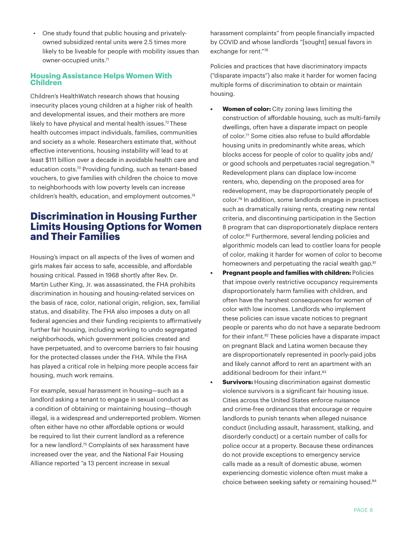• One study found that public housing and privatelyowned subsidized rental units were 2.5 times more likely to be liveable for people with mobility issues than owner-occupied units.71

### **Housing Assistance Helps Women With Children**

Children's HealthWatch research shows that housing insecurity places young children at a higher risk of health and developmental issues, and their mothers are more likely to have physical and mental health issues.<sup>72</sup> These health outcomes impact individuals, families, communities and society as a whole. Researchers estimate that, without effective interventions, housing instability will lead to at least \$111 billion over a decade in avoidable health care and education costs.73 Providing funding, such as tenant-based vouchers, to give families with children the choice to move to neighborhoods with low poverty levels can increase children's health, education, and employment outcomes.<sup>74</sup>

# **Discrimination in Housing Further Limits Housing Options for Women and Their Families**

Housing's impact on all aspects of the lives of women and girls makes fair access to safe, accessible, and affordable housing critical. Passed in 1968 shortly after Rev. Dr. Martin Luther King, Jr. was assassinated, the FHA prohibits discrimination in housing and housing-related services on the basis of race, color, national origin, religion, sex, familial status, and disability. The FHA also imposes a duty on all federal agencies and their funding recipients to affirmatively further fair housing, including working to undo segregated neighborhoods, which government policies created and have perpetuated, and to overcome barriers to fair housing for the protected classes under the FHA. While the FHA has played a critical role in helping more people access fair housing, much work remains.

For example, sexual harassment in housing—such as a landlord asking a tenant to engage in sexual conduct as a condition of obtaining or maintaining housing—though illegal, is a widespread and underreported problem. Women often either have no other affordable options or would be required to list their current landlord as a reference for a new landlord.75 Complaints of sex harassment have increased over the year, and the National Fair Housing Alliance reported "a 13 percent increase in sexual

harassment complaints" from people financially impacted by COVID and whose landlords "[sought] sexual favors in exchange for rent."76

Policies and practices that have discriminatory impacts ("disparate impacts") also make it harder for women facing multiple forms of discrimination to obtain or maintain housing.

- **• Women of color:** City zoning laws limiting the construction of affordable housing, such as multi-family dwellings, often have a disparate impact on people of color.77 Some cities also refuse to build affordable housing units in predominantly white areas, which blocks access for people of color to quality jobs and/ or good schools and perpetuates racial segregation.<sup>78</sup> Redevelopment plans can displace low-income renters, who, depending on the proposed area for redevelopment, may be disproportionately people of color.79 In addition, some landlords engage in practices such as dramatically raising rents, creating new rental criteria, and discontinuing participation in the Section 8 program that can disproportionately displace renters of color.<sup>80</sup> Furthermore, several lending policies and algorithmic models can lead to costlier loans for people of color, making it harder for women of color to become homeowners and perpetuating the racial wealth gap.<sup>81</sup>
- **• Pregnant people and families with children:** Policies that impose overly restrictive occupancy requirements disproportionately harm families with children, and often have the harshest consequences for women of color with low incomes. Landlords who implement these policies can issue vacate notices to pregnant people or parents who do not have a separate bedroom for their infant.<sup>82</sup> These policies have a disparate impact on pregnant Black and Latina women because they are disproportionately represented in poorly-paid jobs and likely cannot afford to rent an apartment with an additional bedroom for their infant.<sup>83</sup>
- **• Survivors:** Housing discrimination against domestic violence survivors is a significant fair housing issue. Cities across the United States enforce nuisance and crime-free ordinances that encourage or require landlords to punish tenants when alleged nuisance conduct (including assault, harassment, stalking, and disorderly conduct) or a certain number of calls for police occur at a property. Because these ordinances do not provide exceptions to emergency service calls made as a result of domestic abuse, women experiencing domestic violence often must make a choice between seeking safety or remaining housed.<sup>84</sup>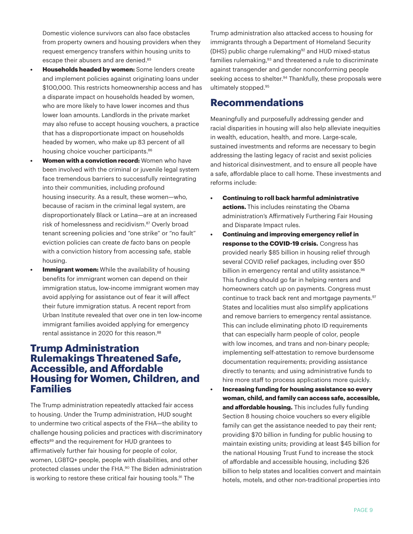Domestic violence survivors can also face obstacles from property owners and housing providers when they request emergency transfers within housing units to escape their abusers and are denied.<sup>85</sup>

- **• Households headed by women:** Some lenders create and implement policies against originating loans under \$100,000. This restricts homeownership access and has a disparate impact on households headed by women, who are more likely to have lower incomes and thus lower loan amounts. Landlords in the private market may also refuse to accept housing vouchers, a practice that has a disproportionate impact on households headed by women, who make up 83 percent of all housing choice voucher participants.<sup>86</sup>
- **• Women with a conviction record:** Women who have been involved with the criminal or juvenile legal system face tremendous barriers to successfully reintegrating into their communities, including profound housing insecurity. As a result, these women—who, because of racism in the criminal legal system, are disproportionately Black or Latina—are at an increased risk of homelessness and recidivism.87 Overly broad tenant screening policies and "one strike" or "no fault" eviction policies can create *de facto* bans on people with a conviction history from accessing safe, stable housing.
- **• Immigrant women:** While the availability of housing benefits for immigrant women can depend on their immigration status, low-income immigrant women may avoid applying for assistance out of fear it will affect their future immigration status. A recent report from Urban Institute revealed that over one in ten low-income immigrant families avoided applying for emergency rental assistance in 2020 for this reason.<sup>88</sup>

## **Trump Administration Rulemakings Threatened Safe, Accessible, and Affordable Housing for Women, Children, and Families**

The Trump administration repeatedly attacked fair access to housing. Under the Trump administration, HUD sought to undermine two critical aspects of the FHA—the ability to challenge housing policies and practices with discriminatory effects<sup>89</sup> and the requirement for HUD grantees to affirmatively further fair housing for people of color, women, LGBTQ+ people, people with disabilities, and other protected classes under the FHA.90 The Biden administration is working to restore these critical fair housing tools.<sup>91</sup> The

Trump administration also attacked access to housing for immigrants through a Department of Homeland Security (DHS) public charge rulemaking92 and HUD mixed-status families rulemaking,<sup>93</sup> and threatened a rule to discriminate against transgender and gender nonconforming people seeking access to shelter.<sup>94</sup> Thankfully, these proposals were ultimately stopped.95

# **Recommendations**

Meaningfully and purposefully addressing gender and racial disparities in housing will also help alleviate inequities in wealth, education, health, and more. Large-scale, sustained investments and reforms are necessary to begin addressing the lasting legacy of racist and sexist policies and historical disinvestment, and to ensure all people have a safe, affordable place to call home. These investments and reforms include:

- **• Continuing to roll back harmful administrative actions.** This includes reinstating the Obama administration's Affirmatively Furthering Fair Housing and Disparate Impact rules.
- **• Continuing and improving emergency relief in response to the COVID-19 crisis.** Congress has provided nearly \$85 billion in housing relief through several COVID relief packages, including over \$50 billion in emergency rental and utility assistance.<sup>96</sup> This funding should go far in helping renters and homeowners catch up on payments. Congress must continue to track back rent and mortgage payments.<sup>97</sup> States and localities must also simplify applications and remove barriers to emergency rental assistance. This can include eliminating photo ID requirements that can especially harm people of color, people with low incomes, and trans and non-binary people; implementing self-attestation to remove burdensome documentation requirements; providing assistance directly to tenants; and using administrative funds to hire more staff to process applications more quickly.
- **• Increasing funding for housing assistance so every woman, child, and family can access safe, accessible, and affordable housing.** This includes fully funding Section 8 housing choice vouchers so every eligible family can get the assistance needed to pay their rent; providing \$70 billion in funding for public housing to maintain existing units; providing at least \$45 billion for the national Housing Trust Fund to increase the stock of affordable and accessible housing, including \$26 billion to help states and localities convert and maintain hotels, motels, and other non-traditional properties into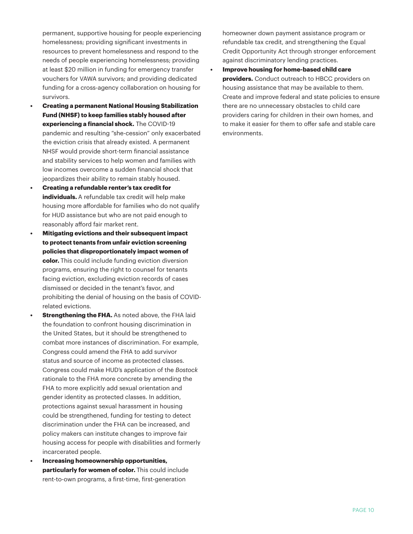permanent, supportive housing for people experiencing homelessness; providing significant investments in resources to prevent homelessness and respond to the needs of people experiencing homelessness; providing at least \$20 million in funding for emergency transfer vouchers for VAWA survivors; and providing dedicated funding for a cross-agency collaboration on housing for survivors.

- **• Creating a permanent National Housing Stabilization Fund (NHSF) to keep families stably housed after experiencing a financial shock.** The COVID-19 pandemic and resulting "she-cession" only exacerbated the eviction crisis that already existed. A permanent NHSF would provide short-term financial assistance and stability services to help women and families with low incomes overcome a sudden financial shock that jeopardizes their ability to remain stably housed.
- **• Creating a refundable renter's tax credit for individuals.** A refundable tax credit will help make housing more affordable for families who do not qualify for HUD assistance but who are not paid enough to reasonably afford fair market rent.
- **• Mitigating evictions and their subsequent impact to protect tenants from unfair eviction screening policies that disproportionately impact women of color.** This could include funding eviction diversion programs, ensuring the right to counsel for tenants facing eviction, excluding eviction records of cases dismissed or decided in the tenant's favor, and prohibiting the denial of housing on the basis of COVIDrelated evictions.
- **• Strengthening the FHA.** As noted above, the FHA laid the foundation to confront housing discrimination in the United States, but it should be strengthened to combat more instances of discrimination. For example, Congress could amend the FHA to add survivor status and source of income as protected classes. Congress could make HUD's application of the *Bostock* rationale to the FHA more concrete by amending the FHA to more explicitly add sexual orientation and gender identity as protected classes. In addition, protections against sexual harassment in housing could be strengthened, funding for testing to detect discrimination under the FHA can be increased, and policy makers can institute changes to improve fair housing access for people with disabilities and formerly incarcerated people.
- **• Increasing homeownership opportunities, particularly for women of color.** This could include rent-to-own programs, a first-time, first-generation

homeowner down payment assistance program or refundable tax credit, and strengthening the Equal Credit Opportunity Act through stronger enforcement against discriminatory lending practices.

**• Improve housing for home-based child care providers.** Conduct outreach to HBCC providers on housing assistance that may be available to them. Create and improve federal and state policies to ensure there are no unnecessary obstacles to child care providers caring for children in their own homes, and to make it easier for them to offer safe and stable care environments.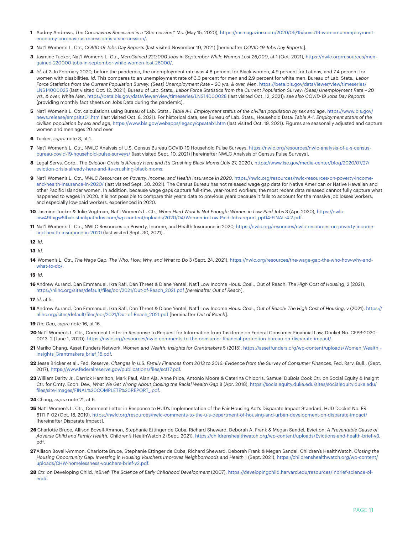- **1** Audrey Andrews, *The Coronavirus Recession is a "She-cession*," Ms. (May 15, 2020), [https://msmagazine.com/2020/05/15/covid19-women-unemployment](https://msmagazine.com/2020/05/15/covid19-women-unemployment-economy-coronavirus-recession-is-a-she-cession/)[economy-coronavirus-recession-is-a-she-cession/.](https://msmagazine.com/2020/05/15/covid19-women-unemployment-economy-coronavirus-recession-is-a-she-cession/)
- **2** Nat'l Women's L. Ctr., *COVID-19 Jobs Day Reports* (last visited November 10, 2021) [hereinafter *COVID-19 Jobs Day Reports*].
- **3** Jasmine Tucker, Nat'l Women's L. Ctr., *Men Gained 220,000 Jobs in September While Women Lost 26,000*, at 1 (Oct. 2021), [https://nwlc.org/resources/men](https://nwlc.org/resources/men-gained-220000-jobs-in-september-while-women-lost-26000/)[gained-220000-jobs-in-september-while-women-lost-26000/](https://nwlc.org/resources/men-gained-220000-jobs-in-september-while-women-lost-26000/).
- **4** *Id*. at 2. In February 2020, before the pandemic, the unemployment rate was 4.8 percent for Black women, 4.9 percent for Latinas, and 7.4 percent for women with disabilities. *Id*. This compares to an unemployment rate of 3.3 percent for men and 2.9 percent for white men. Bureau of Lab. Stats., *Labor*  Force Statistics from the Current Population Survey: (Seas) Unemployment Rate - 20 yrs. & over, Men, https://beta.bls.gov/dataViewer/view/timeseries/ [LNS14000025](https://beta.bls.gov/dataViewer/view/timeseries/ LNS14000025) (last visited Oct. 12, 2021); Bureau of Lab. Stats., *Labor Force Statistics from the Current Population Survey: (Seas) Unemployment Rate – 20 yrs. & over, White Men*, [https://beta.bls.gov/dataViewer/view/timeseries/LNS14000028 \(](https://beta.bls.gov/dataViewer/view/timeseries/LNS14000028 )last visited Oct. 12, 2021); *see also COVID-19 Jobs Day Reports* (providing monthly fact sheets on Jobs Data during the pandemic).
- **5** Nat'l Women's L. Ctr. calculations using Bureau of Lab. Stats., *Table A-1. Employment status of the civilian population by sex and age*, [https://www.bls.gov/](https://www.bls.gov/news.release/empsit.t01.htm) [news.release/empsit.t01.htm](https://www.bls.gov/news.release/empsit.t01.htm) (last visited Oct. 8, 2021). For historical data, see Bureau of Lab. Stats., Household Data: *Table A-1. Employment status of the civilian population by sex and age*,<https://www.bls.gov/webapps/legacy/cpsatab1.htm> (last visited Oct. 19, 2021). Figures are seasonally adjusted and capture women and men ages 20 and over.
- **6** Tucker, *supra* note 3, at 1.
- **7** Nat'l Women's L. Ctr., NWLC Analysis of U.S. Census Bureau COVID-19 Household Pulse Surveys, [https://nwlc.org/resources/nwlc-analysis-of-u-s-census](https://nwlc.org/resources/nwlc-analysis-of-u-s-census-bureau-covid-19-household-pulse-surveys/)[bureau-covid-19-household-pulse-surveys/](https://nwlc.org/resources/nwlc-analysis-of-u-s-census-bureau-covid-19-household-pulse-surveys/) (last visited Sept. 10, 2021) [hereinafter NWLC Analysis of Census Pulse Surveys].
- **8** Legal Servs. Corp., *The Eviction Crisis Is Already Here and It's Crushing Black Moms* (July 27, 2020), [https://www.lsc.gov/media-center/blog/2020/07/27/](https://www.lsc.gov/media-center/blog/2020/07/27/eviction-crisis-already-here-and-its-crushing-black-moms) [eviction-crisis-already-here-and-its-crushing-black-moms.](https://www.lsc.gov/media-center/blog/2020/07/27/eviction-crisis-already-here-and-its-crushing-black-moms)
- **9** Nat'l Women's L. Ctr., *NWLC Resources on Poverty, Income, and Health Insurance in 2020*, [https://nwlc.org/resources/nwlc-resources-on-poverty-income](https://nwlc.org/resources/nwlc-resources-on-poverty-income-and-health-insurance-in-2020/)[and-health-insurance-in-2020/](https://nwlc.org/resources/nwlc-resources-on-poverty-income-and-health-insurance-in-2020/) (last visited Sept. 30, 2021). The Census Bureau has not released wage gap data for Native American or Native Hawaiian and other Pacific Islander women. In addition, because wage gaps capture full-time, year-round workers, the most recent data released cannot fully capture what happened to wages in 2020. It is not possible to compare this year's data to previous years because it fails to account for the massive job losses workers, and especially low-paid workers, experienced in 2020.
- **10** Jasmine Tucker & Julie Vogtman, Nat'l Women's L. Ctr., *When Hard Work Is Not Enough: Women in Low-Paid Jobs* 3 (Apr. 2020), [https://nwlc](https://nwlc-ciw49tixgw5lbab.stackpathdns.com/wp-content/uploads/2020/04/Women-in-Low-Paid-Jobs-report_pp04-FINAL-4.2.pdf)[ciw49tixgw5lbab.stackpathdns.com/wp-content/uploads/2020/04/Women-in-Low-Paid-Jobs-report\\_pp04-FINAL-4.2.pdf](https://nwlc-ciw49tixgw5lbab.stackpathdns.com/wp-content/uploads/2020/04/Women-in-Low-Paid-Jobs-report_pp04-FINAL-4.2.pdf).
- **11** Nat'l Women's L. Ctr., NWLC Resources on Poverty, Income, and Health Insurance in 2020, [https://nwlc.org/resources/nwlc-resources-on-poverty-income](https://nwlc.org/resources/nwlc-resources-on-poverty-income-and-health-insurance-in-2020)[and-health-insurance-in-2020](https://nwlc.org/resources/nwlc-resources-on-poverty-income-and-health-insurance-in-2020) (last visited Sept. 30, 2021)..

**12** *Id*.

```
13 Id.
```
**14** Women's L. Ctr., *The Wage Gap: The Who, How, Why, and What to Do* 3 (Sept. 24, 2021), [https://nwlc.org/resources/the-wage-gap-the-who-how-why-and](https://nwlc.org/resources/the-wage-gap-the-who-how-why-and-what-to-do/)[what-to-do/.](https://nwlc.org/resources/the-wage-gap-the-who-how-why-and-what-to-do/)

**15** *Id.* 

**16**Andrew Aurand, Dan Emmanuel, Ikra Rafi, Dan Threet & Diane Yentel, Nat'l Low Income Hous. Coal., Out of Reach: *The High Cost of Housing*, 2 (2021), [https://nlihc.org/sites/default/files/oor/2021/Out-of-Reach\\_2021.pdf](https://nlihc.org/sites/default/files/oor/2021/Out-of-Reach_2021.pdf ) *[hereinafter Out of Reach*].

- **18** Andrew Aurand, Dan Emmanuel, Ikra Rafi, Dan Threet & Diane Yentel, Nat'l Low Income Hous. Coal., *Out of Reach: The High Cost of Housing*, v (2021), [https://](https://nlihc.org/sites/default/files/oor/2021/Out-of-Reach_2021.pdf ) [nlihc.org/sites/default/files/oor/2021/Out-of-Reach\\_2021.pdf \[](https://nlihc.org/sites/default/files/oor/2021/Out-of-Reach_2021.pdf )hereinafter *Out of Reach*].
- **19***The Gap*, *supra* note 16, at 16.
- **20** Nat'l Women's L. Ctr., Comment Letter in Response to Request for Information from Taskforce on Federal Consumer Financial Law, Docket No. CFPB-2020- 0013, 2 (June 1, 2020)[, https://nwlc.org/resources/nwlc-comments-to-the-consumer-financial-protection-bureau-on-disparate-impact/]( https://nwlc.org/resources/nwlc-comments-to-the-consumer-financial-protection-bureau-on-disparate-impact/).
- **21** Mariko Chang, Asset Funders Network, *Women and Wealth: Insights for Grantmakers* 5 (2015), [https://assetfunders.org/wp-content/uploads/Women\\_Wealth\\_-](https://assetfunders.org/wp-content/uploads/Women_Wealth_-Insights_Grantmakers_brief_15.pdf) [Insights\\_Grantmakers\\_brief\\_15.pdf.](https://assetfunders.org/wp-content/uploads/Women_Wealth_-Insights_Grantmakers_brief_15.pdf)
- **22** Jesse Bricker et al., Fed. Reserve, *Changes in U.S. Family Finances from 2013 to 2016: Evidence from the Survey of Consumer Finances*, Fed. Rsrv. Bull., (Sept. 2017),<https://www.federalreserve.gov/publications/files/scf17.pdf>.
- **23** William Darity Jr., Darrick Hamilton, Mark Paul, Alan Aja, Anne Price, Antonio Moore & Caterina Chiopris, Samuel DuBois Cook Ctr. on Social Equity & Insight Ctr. for Cmty. Econ. Dev., *What We Get Wrong About Closing the Racial Wealth Gap* 8 (Apr. 2018), [https://socialequity.duke.edu/sites/socialequity.duke.edu/](https://socialequity.duke.edu/sites/socialequity.duke.edu/files/site-images/FINAL%20COMPLETE%20REPORT_.pdf) [files/site-images/FINAL%20COMPLETE%20REPORT\\_.pdf.](https://socialequity.duke.edu/sites/socialequity.duke.edu/files/site-images/FINAL%20COMPLETE%20REPORT_.pdf)
- **24** Chang, *supra* note 21, at 6.
- **25** Nat'l Women's L. Ctr., Comment Letter in Response to HUD's Implementation of the Fair Housing Act's Disparate Impact Standard, HUD Docket No. FR-6111-P-02 (Oct. 18, 2019), [https://nwlc.org/resources/nwlc-comments-to-the-u-s-department-of-housing-and-urban-development-on-disparate-impact/](https://nwlc.org/resources/nwlc-comments-to-the-u-s-department-of-housing-and-urban-development-on-disparate-impact/ )  [hereinafter Disparate Impact].
- **26** Charlotte Bruce, Allison Bovell-Ammon, Stephanie Ettinger de Cuba, Richard Sheward, Deborah A. Frank & Megan Sandel, Eviction: *A Preventable Cause of Adverse Child and Family Health*, Children's HealthWatch 2 (Sept. 2021),<https://childrenshealthwatch.org/wp-content/uploads/Evictions-and-health-brief-v3>. pdf.
- **27**Allison Bovell-Ammon, Charlotte Bruce, Stephanie Ettinger de Cuba, Richard Sheward, Deborah Frank & Megan Sandel, Children's HealthWatch, *Closing the*  Housing Opportunity Gap: Investing in Housing Vouchers Improves Neighborhoods and Health 1 (Sept. 2021), [https://childrenshealthwatch.org/wp-content/](https://childrenshealthwatch.org/wp-content/uploads/CHW-homelessness-vouchers-brief-v2.pdf) [uploads/CHW-homelessness-vouchers-brief-v2.pdf.](https://childrenshealthwatch.org/wp-content/uploads/CHW-homelessness-vouchers-brief-v2.pdf)
- **28** Ctr. on Developing Child, *InBrief: The Science of Early Childhood Development* (2007), [https://developingchild.harvard.edu/resources/inbrief-science-of](https://developingchild.harvard.edu/resources/inbrief-science-of-ecd/)[ecd/](https://developingchild.harvard.edu/resources/inbrief-science-of-ecd/).

**<sup>17</sup>** *Id*. at 5.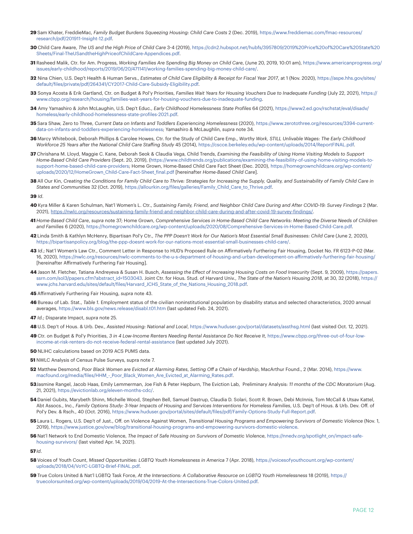- **29** Sam Khater, FreddieMac, *Family Budget Burdens Squeezing Housing: Child Care Costs* 2 (Dec. 2019), [https://www.freddiemac.com/fmac-resources/](http://www.freddiemac.com/fmac-resources/research/pdf/201911-Insight-12.pdf) [research/pdf/201911-Insight-12.pdf.](http://www.freddiemac.com/fmac-resources/research/pdf/201911-Insight-12.pdf)
- **30** Child Care Aware, *The US and the High Price of Child Care* 3-4 (2019), [https://cdn2.hubspot.net/hubfs/3957809/2019%20Price%20of%20Care%20State%20](https://cdn2.hubspot.net/hubfs/3957809/2019%20Price%20of%20Care%20State%20Sheets/Final-TheUSandtheHighPriceofChildCare-Appendices.pdf) [Sheets/Final-TheUSandtheHighPriceofChildCare-Appendices.pdf.](https://cdn2.hubspot.net/hubfs/3957809/2019%20Price%20of%20Care%20State%20Sheets/Final-TheUSandtheHighPriceofChildCare-Appendices.pdf)
- **31** Rasheed Malik, Ctr. for Am. Progress, *Working Families Are Spending Big Money on Child Care*, (June 20, 2019, 10:01 am), [https://www.americanprogress.org/](https://www.americanprogress.org/issues/early-childhood/reports/2019/06/20/471141/working-families-spending-big-money-child-care/) [issues/early-childhood/reports/2019/06/20/471141/working-families-spending-big-money-child-care/](https://www.americanprogress.org/issues/early-childhood/reports/2019/06/20/471141/working-families-spending-big-money-child-care/).
- **32** Nina Chien, U.S. Dep't Health & Human Servs., *Estimates of Child Care Eligibility & Receipt for Fiscal Year 2017*, at 1 (Nov. 2020), [https://aspe.hhs.gov/sites/](https://aspe.hhs.gov/sites/default/files/private/pdf/264341/CY2017-Child-Care-Subsidy-Eligibility.pdf) [default/files/private/pdf/264341/CY2017-Child-Care-Subsidy-Eligibility.pdf](https://aspe.hhs.gov/sites/default/files/private/pdf/264341/CY2017-Child-Care-Subsidy-Eligibility.pdf).
- **33** Sonya Acosta & Erik Gartland, Ctr. on Budget & Pol'y Priorities, *Families Wait Years for Housing Vouchers Due to Inadequate Funding* (July 22, 2021), [https://](https://www.cbpp.org/research/housing/families-wait-years-for-housing-vouchers-due-to-inadequate-funding) [www.cbpp.org/research/housing/families-wait-years-for-housing-vouchers-due-to-inadequate-funding](https://www.cbpp.org/research/housing/families-wait-years-for-housing-vouchers-due-to-inadequate-funding).
- **34** Amy Yamashiro & John McLaughin, U.S. Dep't Educ., *Early Childhood Homelessness State Profiles* 64 (2021), [https://www2.ed.gov/rschstat/eval/disadv/](https://www2.ed.gov/rschstat/eval/disadv/homeless/early-childhood-homelessness-state-profiles-2021.pdf) [homeless/early-childhood-homelessness-state-profiles-2021.pdf.](https://www2.ed.gov/rschstat/eval/disadv/homeless/early-childhood-homelessness-state-profiles-2021.pdf)
- **35** Sara Shaw, Zero to Three, *Current Data on Infants and Toddlers Experiencing Homelessness* (2020), [https://www.zerotothree.org/resources/3394-current](https://www.zerotothree.org/resources/3394-current-data-on-infants-and-toddlers-experiencing-homelessness)[data-on-infants-and-toddlers-experiencing-homelessness;](https://www.zerotothree.org/resources/3394-current-data-on-infants-and-toddlers-experiencing-homelessness) Yamashiro & McLaughlin, *supra* note 34.
- **36** Marcy Whitebook, Deborah Phillips & Carolee Howes, Ctr. for the Study of Child Care Emp., *Worthy Work, STILL Unlivable Wages: The Early Childhood Workforce 25 Years after the National Child Care Staffing Study* 45 (2014), [https://cscce.berkeley.edu/wp-content/uploads/2014/ReportFINAL.pdf.](https://cscce.berkeley.edu/wp-content/uploads/2014/ReportFINAL.pdf)
- **37** Chrishana M. Lloyd, Maggie C. Kane, Deborah Seok & Claudia Vega, Child Trends, *Examining the Feasibility of Using Home Visiting Models to Support Home-Based Child Care Providers* (Sept. 20, 2019), [\(https://www.childtrends.org/publications/examining-the-feasibility-of-using-home-visiting-models-to](https://www.childtrends.org/publications/examining-the-feasibility-of-using-home-visiting-models-to-support-home-based-child-care-providers)[support-home-based-child-care-providers](https://www.childtrends.org/publications/examining-the-feasibility-of-using-home-visiting-models-to-support-home-based-child-care-providers); Home Grown, Home-Based Child Care Fact Sheet (Dec. 2020), [https://homegrownchildcare.org/wp-content/](https://homegrownchildcare.org/wp-content/uploads/2020/12/HomeGrown_Child-Care-Fact-Sheet_final.pdf) [uploads/2020/12/HomeGrown\\_Child-Care-Fact-Sheet\\_final.pdf](https://homegrownchildcare.org/wp-content/uploads/2020/12/HomeGrown_Child-Care-Fact-Sheet_final.pdf) [hereinafter *Home-Based Child Care*].
- **38** All Our Kin, *Creating the Conditions for Family Child Care to Thrive: Strategies for Increasing the Supply, Quality, and Sustainability of Family Child Care in States and Communities* 32 (Oct. 2019), [https://allourkin.org/files/galleries/Family\\_Child\\_Care\\_to\\_Thrive.pdf.](https://allourkin.org/files/galleries/Family_Child_Care_to_Thrive.pdf)

**39** *Id*.

- **40** Kyra Miller & Karen Schulman, Nat'l Women's L. Ctr., *Sustaining Family, Friend, and Neighbor Child Care During and After COVID-19: Survey Findings* 2 (Mar. 2021),<https://nwlc.org/resources/sustaining-family-friend-and-neighbor-child-care-during-and-after-covid-19-survey-findings/>.
- **41** *Home-Based Child Care*, *supra* note 37; Home Grown, *Comprehensive Services in Home-Based Child Care Networks: Meeting the Diverse Needs of Children and Families* 6 (2020), [https://homegrownchildcare.org/wp-content/uploads/2020/08/Comprehensive-Services-in-Home-Based-Child-Care.pdf.](https://homegrownchildcare.org/wp-content/uploads/2020/08/Comprehensive-Services-in-Home-Based-Child-Care.pdf)
- **42** Linda Smith & Kathlyn McHenry, Bipartisan Pol'y Ctr., *The PPP Doesn't Work for Our Nation's Most Essential Small Businesses: Child Care* (June 2, 2020), [https://bipartisanpolicy.org/blog/the-ppp-doesnt-work-for-our-nations-most-essential-small-businesses-child-care/.](https://bipartisanpolicy.org/blog/the-ppp-doesnt-work-for-our-nations-most-essential-small-businesses-child-care/)
- **43** *Id*.; Nat'l Women's Law Ctr., Comment Letter in Response to HUD's Proposed Rule on Affirmatively Furthering Fair Housing, Docket No. FR 6123-P-02 (Mar. 16, 2020), [https://nwlc.org/resources/nwlc-comments-to-the-u-s-department-of-housing-and-urban-development-on-affirmatively-furthering-fair-housing/](https://nwlc.org/resources/nwlc-comments-to-the-u-s-department-of-housing-and-urban-development-on-affirmatively-furthering-fair-housing/ )  [hereinafter Affirmatively Furthering Fair Housing].
- **44** Jason M. Fletcher, Tatiana Andreyeva & Susan H. Busch, *Assessing the Effect of Increasing Housing Costs on Food Insecurity* (Sept. 9, 2009), [https://papers.](https://papers.ssrn.com/sol3/papers.cfm?abstract_id=1503043) [ssrn.com/sol3/papers.cfm?abstract\\_id=1503043.](https://papers.ssrn.com/sol3/papers.cfm?abstract_id=1503043) Joint Ctr. for Hous. Stud. of Harvard Univ., *The State of the Nation's Housing 2018*, at 30, 32 (2018), [https://](https://www.jchs.harvard.edu/sites/default/files/Harvard_JCHS_State_of_the_Nations_Housing_2018.pdf) [www.jchs.harvard.edu/sites/default/files/Harvard\\_JCHS\\_State\\_of\\_the\\_Nations\\_Housing\\_2018.pdf.](https://www.jchs.harvard.edu/sites/default/files/Harvard_JCHS_State_of_the_Nations_Housing_2018.pdf)
- **45** Affirmatively Furthering Fair Housing, *supra* note 43.
- **46** Bureau of Lab. Stat., *Table 1.* Employment status of the civilian noninstitutional population by disability status and selected characteristics, 2020 annual averages,<https://www.bls.gov/news.release/disabl.t01.htm>(last updated Feb. 24, 2021).
- **47** *Id.*; Disparate Impact, *supra* note 25.
- **48** U.S. Dep't of Hous. & Urb. Dev., *Assisted Housing: National and Local*, <https://www.huduser.gov/portal/datasets/assthsg.html>(last visited Oct. 12, 2021).
- **49** Ctr. on Budget & Pol'y Priorities, *3 in 4 Low-Income Renters Needing Rental Assistance Do Not Receive It*, [https://www.cbpp.org/three-out-of-four-low](https://www.cbpp.org/three-out-of-four-low-income-at-risk-renters-do-not-receive-federal-rental-assistance )[income-at-risk-renters-do-not-receive-federal-rental-assistance \(](https://www.cbpp.org/three-out-of-four-low-income-at-risk-renters-do-not-receive-federal-rental-assistance )last updated July 2021).
- **50** NLIHC calculations based on 2019 ACS PUMS data.
- **51** NWLC Analysis of Census Pulse Surveys, supra note 7.
- **52** Matthew Desmond, *Poor Black Women are Evicted at Alarming Rates*, *Setting Off a Chain of Hardship*, MacArthur Found., 2 (Mar. 2014), [https://www.](https://www.macfound.org/media/files/HHM_-_Poor_Black_Women_Are_Evicted_at_Alarming_Rates.pdf) [macfound.org/media/files/HHM\\_-\\_Poor\\_Black\\_Women\\_Are\\_Evicted\\_at\\_Alarming\\_Rates.pdf.](https://www.macfound.org/media/files/HHM_-_Poor_Black_Women_Are_Evicted_at_Alarming_Rates.pdf)
- **53**Jasmine Rangel, Jacob Haas, Emily Lemmerman, Joe Fish & Peter Hepburn, The Eviction Lab, Preliminary Analysis: *11 months of the CDC Moratorium* (Aug. 21, 2021), [https://evictionlab.org/eleven-months-cdc/.](https://evictionlab.org/eleven-months-cdc/)
- **54** Daniel Gubits, Marybeth Shinn, Michelle Wood, Stephen Bell, Samuel Dastrup, Claudia D. Solari, Scott R. Brown, Debi McInnis, Tom McCall & Utsav Kattel, Abt Assocs., Inc., *Family Options Study: 3-Year Impacts of Housing and Services Interventions for Homeless Families*, U.S. Dep't of Hous. & Urb. Dev. Off. of Pol'y Dev. & Rsch., 40 (Oct. 2016), [https://www.huduser.gov/portal/sites/default/files/pdf/Family-Options-Study-Full-Report.pdf.](https://www.huduser.gov/portal/sites/default/files/pdf/Family-Options-Study-Full-Report.pdf)
- **55** Laura L. Rogers, U.S. Dep't of Just., Off. on Violence Against Women, *Transitional Housing Programs and Empowering Survivors of Domestic Violence* (Nov. 1, 2019), [https://www.justice.gov/ovw/blog/transitional-housing-programs-and-empowering-survivors-domestic-violence.](https://www.justice.gov/ovw/blog/transitional-housing-programs-and-empowering-survivors-domestic-violence)
- **56** Nat'l Network to End Domestic Violence, *The Impact of Safe Housing on Survivors of Domestic Violence*, [https://nnedv.org/spotlight\\_on/impact-safe](https://nnedv.org/spotlight_on/impact-safe-housing-survivors/ )[housing-survivors/ \(](https://nnedv.org/spotlight_on/impact-safe-housing-survivors/ )last visited Apr. 14, 2021).

**57***Id*.

- **58** Voices of Youth Count, *Missed Opportunities: LGBTQ Youth Homelessness in America* 7 (Apr. 2018), [https://voicesofyouthcount.org/wp-content/](https://voicesofyouthcount.org/wp-content/uploads/2018/04/VoYC-LGBTQ-Brief-FINAL.pdf) [uploads/2018/04/VoYC-LGBTQ-Brief-FINAL.pdf.](https://voicesofyouthcount.org/wp-content/uploads/2018/04/VoYC-LGBTQ-Brief-FINAL.pdf)
- **59** True Colors United & Nat'l LGBTQ Task Force, *At the Intersections: A Collaborative Resource on LGBTQ Youth Homelessness* 18 (2019), [https://](https://truecolorsunited.org/wp-content/uploads/2019/04/2019-At-the-Intersections-True-Colors-United.pdf) [truecolorsunited.org/wp-content/uploads/2019/04/2019-At-the-Intersections-True-Colors-United.pdf.](https://truecolorsunited.org/wp-content/uploads/2019/04/2019-At-the-Intersections-True-Colors-United.pdf)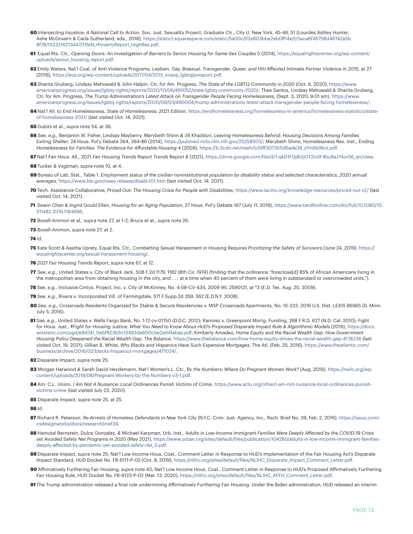- **60** *Intersecting Injustice: A National Call to Action*, Soc. Just. Sexuality Project, Graduate Ctr., City U. New York, 45-46, 51 (Lourdes Ashley Hunter, Ashe McGovern & Carla Sutherland, eds., 2018), [https://static1.squarespace.com/static/5a00c5f2a803bbe2eb0ff14e/t/5aca6f45758d46742a5b](https://static1.squarespace.com/static/5a00c5f2a803bbe2eb0ff14e/t/5aca6f45758d46742a5b8f78/1523216213447/FINAL+PovertyReport_HighRes.pdf) [8f78/1523216213447/FINAL+PovertyReport\\_HighRes.pdf](https://static1.squarespace.com/static/5a00c5f2a803bbe2eb0ff14e/t/5aca6f45758d46742a5b8f78/1523216213447/FINAL+PovertyReport_HighRes.pdf).
- **61** Equal Rts. Ctr., *Opening Doors: An Investigation of Barriers to Senior Housing for Same-Sex Couples* 5 (2014), [https://equalrightscenter.org/wp-content/](https://equalrightscenter.org/wp-content/uploads/senior_housing_report.pdf) [uploads/senior\\_housing\\_report.pdf](https://equalrightscenter.org/wp-content/uploads/senior_housing_report.pdf).
- **62** Emily Waters, Nat'l Coal. of Anti-Violence Programs, *Lesbian, Gay, Bisexual, Transgender, Queer, and HIV-Affected Intimate Partner Violence in 2015*, at 27 (2016), [https://avp.org/wp-content/uploads/2017/04/2015\\_ncavp\\_lgbtqipvreport.pdf.](https://avp.org/wp-content/uploads/2017/04/2015_ncavp_lgbtqipvreport.pdf)
- **63** Sharita Gruberg, Lindsay Mahowald & John Halpin, Ctr. for Am. Progress, *The State of the LGBTQ Community in 2020* (Oct. 6, 2020), [https://www.](https://www.americanprogress.org/issues/lgbtq-rights/reports/2020/10/06/491052/state-lgbtq-community-2020/) [americanprogress.org/issues/lgbtq-rights/reports/2020/10/06/491052/state-lgbtq-community-2020/](https://www.americanprogress.org/issues/lgbtq-rights/reports/2020/10/06/491052/state-lgbtq-community-2020/); Thee Santos, Lindsay Mahowald & Sharita Gruberg, Ctr. for Am. Progress, *The Trump Administration's Latest Attack on Transgender People Facing Homelessness*, (Sept. 3, 2020, 9:01 am), [https://www.](https://www.americanprogress.org/issues/lgbtq-rights/reports/2020/09/03/490004/trump-administrations-latest-attack-transgender-people-facing-homelessness/) [americanprogress.org/issues/lgbtq-rights/reports/2020/09/03/490004/trump-administrations-latest-attack-transgender-people-facing-homelessness/](https://www.americanprogress.org/issues/lgbtq-rights/reports/2020/09/03/490004/trump-administrations-latest-attack-transgender-people-facing-homelessness/).
- **64** Nat'l All. to End Homelessness, *State of Homelessness: 2021 Edition*, [https://endhomelessness.org/homelessness-in-america/homelessness-statistics/state](https://endhomelessness.org/homelessness-in-america/homelessness-statistics/state-of-homelessness-2021/)[of-homelessness-2021/](https://endhomelessness.org/homelessness-in-america/homelessness-statistics/state-of-homelessness-2021/) (last visited Oct. 14, 2021).
- **65** Gubits et al., *supra* note 54, at 36.
- **66** *See*, *e.g*., Benjamin W. Fisher, Lindsay Mayberry, Marybeth Shinn & Jill Khadduri, *Leaving Homelessness Behind: Housing Decisions Among Families Exiting Shelter*, 24 Hous. Pol'y Debate 364, 364-86 (2014), <https://pubmed.ncbi.nlm.nih.gov/25258503/>; Marybeth Shinn, Homelessness Res. Inst., Ending *Homelessness for Families: The Evidence for Affordable Housing* 4 (2009), [https://b.3cdn.net/naeh/b39ff307355d6ade38\\_yfm6b9kot.pdf.](https://b.3cdn.net/naeh/b39ff307355d6ade38_yfm6b9kot.pdf)
- **67** Nat'l Fair Hous. All., 2021 *Fair Housing Trends Report Trends* Report 8 (2021), [https://drive.google.com/file/d/1-qkD1FQj8GjOT2UdF4buBaJ74or56\\_qn/view](https://drive.google.com/file/d/1-qkD1FQj8GjOT2UdF4buBaJ74or56_qn/view).
- **68** Tucker & Vogtman, *supra* note 10, at 4.
- **69** Bureau of Lab. Stat., Table 1. *Employment status of the civilian noninstitutional population by disability status and selected characteristics*, *2020 annual averages*, <https://www.bls.gov/news.release/disabl.t01.htm>(last visited Oct. 14. 2021).
- **70** Tech. Assistance Collaborative, *Priced Out: The Housing Crisis for People with Disabilities*,<https://www.tacinc.org/knowledge-resources/priced-out-v2/>(last visited Oct. 14, 2021).
- **71** Sewin Chan & Ingrid Gould Ellen, *Housing for an Aging Population*, 27 Hous. Pol'y Debate 167 (July 11, 2016), [https://www.tandfonline.com/doi/full/10.1080/10](https://www.tandfonline.com/doi/full/10.1080/10511482.2016.1184696) [511482.2016.1184696.](https://www.tandfonline.com/doi/full/10.1080/10511482.2016.1184696)
- **72** Bovell-Ammon et al., *supra* note 27, at 1-2; Bruce et al., *supra* note 26.
- **73** Bovell-Ammon, *supra* note 27, at 2.
- **74** *Id*.
- **75** Kate Scott & Aastha Uprety, Equal Rts. Ctr., *Combatting Sexual Harassment in Housing Requires Prioritizing the Safety of Survivors* (June 24, 2019), [https://](https://equalrightscenter.org/sexual-harassment-housing/) [equalrightscenter.org/sexual-harassment-housing/.](https://equalrightscenter.org/sexual-harassment-housing/)
- **76** *2021 Fair Housing Trends Report*, *supra* note 67, at 12.
- **77** *See*, *e.g.*, United States v. City of Black Jack, 508 F.2d 1179, 1182 (8th Cir. 1974) (finding that the ordinance "foreclose[d] 85% of African Americans living in the metropolitan area from obtaining housing in the city, and . . . at a time when 40 percent of them were living in substandard or overcrowded units.").
- **78** *See*, *e.g.*, Inclusive Cmtys. Project, Inc. v. City of McKinney, No. 4:08-CV-434, 2009 WL 2590121, at \*3 (E.D. Tex. Aug. 20, 2009).
- **79** *See*, *e.g.*, Rivera v. Incorporated Vill. of Farmingdale, 571 F.Supp.2d 359, 362 (E.D.N.Y. 2008).
- **80** *See*, *e.g*., Crossroads Residents Organized for Stable & Secure Residencies v. MSP Crossroads Apartments, No. 16-233, 2016 U.S. Dist. LEXIS 86965 (D. Minn. July 5, 2016).
- **81** *See*, *e.g.*, United States v. Wells Fargo Bank, No. 1:12-cv-01150 (D.D.C. 2012); Ramirez v. Greenpoint Mortg. Funding, 268 F.R.D. 627 (N.D. Cal. 2010); Fight for Hous. Just., #Fight for Housing Justice: What You Need to Know About HUD's Proposed Disparate Impact Rule & Algorithmic Models (2019), [https://docs.](https://docs.wixstatic.com/ugd/e9d741_0ebf823b5c13492da600cbe2a94fabaa.pdf) [wixstatic.com/ugd/e9d741\\_0ebf823b5c13492da600cbe2a94fabaa.pdf](https://docs.wixstatic.com/ugd/e9d741_0ebf823b5c13492da600cbe2a94fabaa.pdf); Kimberly Amadeo, *Home Equity and the Racial Wealth Gap: How Government Housing Policy Deepened the Racial Wealth Gap*, The Balance,<https://www.thebalance.com/how-home-equity-drives-the-racial-wealth-gap-4178236>(last visited Oct. 19, 2021); Gillian B. White, *Why Blacks and Hispanics Have Such Expensive Mortgages*, The Atl. (Feb. 25, 2016), [https://www.theatlantic.com/](https://www.theatlantic.com/business/archive/2016/02/blacks-hispanics-mortgages/471024/) [business/archive/2016/02/blacks-hispanics-mortgages/471024/](https://www.theatlantic.com/business/archive/2016/02/blacks-hispanics-mortgages/471024/).
- **82** Disparate Impact, *supra* note 25.
- **83** Morgan Harwood & Sarah David Heydemann, Nat'l Women's L. Ctr., *By the Numbers: Where Do Pregnant Women Work?* (Aug. 2019), [https://nwlc.org/wp](https://nwlc.org/wp-content/uploads/2019/08/Pregnant-Workers-by-the-Numbers-v3-1.pdf)[content/uploads/2019/08/Pregnant-Workers-by-the-Numbers-v3-1.pdf.](https://nwlc.org/wp-content/uploads/2019/08/Pregnant-Workers-by-the-Numbers-v3-1.pdf)
- **84** Am. C.L. Union, *I Am Not A Nuisance: Local Ordinances Punish Victims of Crime*, [https://www.aclu.org/other/i-am-not-nuisance-local-ordinances-punish](https://www.aclu.org/other/i-am-not-nuisance-local-ordinances-punish-victims-crime )[victims-crime](https://www.aclu.org/other/i-am-not-nuisance-local-ordinances-punish-victims-crime ) (last visited July 23, 2020).
- **85** Disparate Impact, *supra* note 25, at 25.

**86** *Id*.

- **87** Richard R. Peterson, *Re-Arrests of Homeless Defendants in New York City* (N.Y.C. Crim. Just. Agency, Inc., Rsch. Brief No. 39, Feb. 2, 2016), [https://issuu.com/](https://issuu.com/csdesignworks/docs/researchbrief39) [csdesignworks/docs/researchbrief39](https://issuu.com/csdesignworks/docs/researchbrief39).
- **88** Hamutal Bernstein, Dulce Gonzalez, & Michael Karpman, Urb. Inst., *Adults in Low-Income Immigrant Families Were Deeply Affected by the COVID-19 Crisis yet Avoided Safety Net Programs in 2020* (May 2021), [https://www.urban.org/sites/default/files/publication/104280/adults-in-low-income-immigrant-families](https://www.urban.org/sites/default/files/publication/104280/adults-in-low-income-immigrant-families-deeply-affected-by-pandemic-yet-avoided-safety-net_0.pdf)[deeply-affected-by-pandemic-yet-avoided-safety-net\\_0.pdf](https://www.urban.org/sites/default/files/publication/104280/adults-in-low-income-immigrant-families-deeply-affected-by-pandemic-yet-avoided-safety-net_0.pdf).
- **89** Disparate Impact, *supra* note 25; Nat'l Low Income Hous. Coal., Comment Letter in Response to HUD's Implementation of the Fair Housing Act's Disparate Impact Standard, HUD Docket No. FR-6111-P-02 (Oct. 8, 2019), [https://nlihc.org/sites/default/files/NLIHC\\_Disparate\\_Impact\\_Comment\\_Letter.pdf](https://nlihc.org/sites/default/files/NLIHC_Disparate_Impact_Comment_Letter.pdf).
- **90** Affirmatively Furthering Fair Housing, *supra* note 43; Nat'l Low Income Hous. Coal., Comment Letter in Response to HUD's Proposed Affirmatively Furthering Fair Housing Rule, HUD Docket No. FR-6123-P-02 (Mar. 13, 2020), [https://nlihc.org/sites/default/files/NLIHC\\_AFFH\\_Comment\\_Letter.pdf.](https://nlihc.org/sites/default/files/NLIHC_AFFH_Comment_Letter.pdf)
- **91** The Trump administration released a final rule undermining Affirmatively Furthering Fair Housing. Under the Biden administration, HUD released an interim